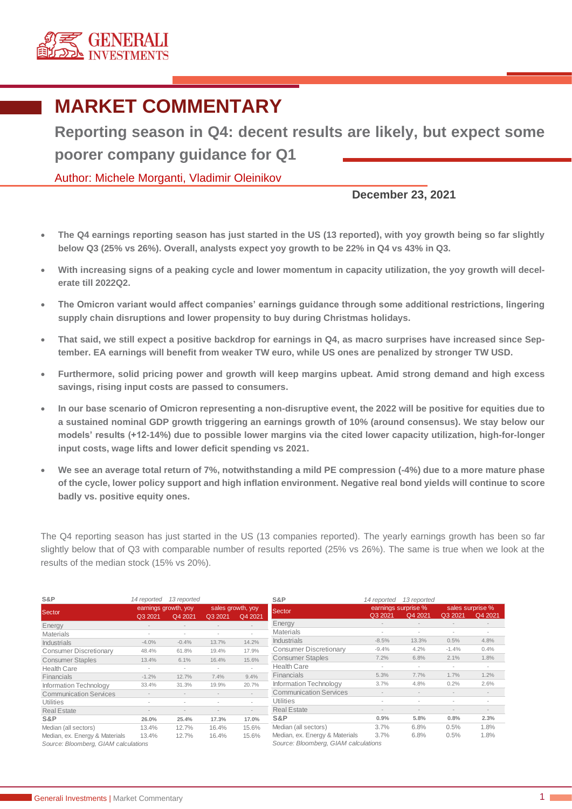

## **MARKET COMMENTARY**

**Reporting season in Q4: decent results are likely, but expect some poorer company guidance for Q1**

Author: Michele Morganti, Vladimir Oleinikov

**December 23, 2021**

- **The Q4 earnings reporting season has just started in the US (13 reported), with yoy growth being so far slightly below Q3 (25% vs 26%). Overall, analysts expect yoy growth to be 22% in Q4 vs 43% in Q3.**
- **With increasing signs of a peaking cycle and lower momentum in capacity utilization, the yoy growth will decelerate till 2022Q2.**
- **The Omicron variant would affect companies' earnings guidance through some additional restrictions, lingering supply chain disruptions and lower propensity to buy during Christmas holidays.**
- **That said, we still expect a positive backdrop for earnings in Q4, as macro surprises have increased since September. EA earnings will benefit from weaker TW euro, while US ones are penalized by stronger TW USD.**
- **Furthermore, solid pricing power and growth will keep margins upbeat. Amid strong demand and high excess savings, rising input costs are passed to consumers.**
- **In our base scenario of Omicron representing a non-disruptive event, the 2022 will be positive for equities due to a sustained nominal GDP growth triggering an earnings growth of 10% (around consensus). We stay below our models' results (+12-14%) due to possible lower margins via the cited lower capacity utilization, high-for-longer input costs, wage lifts and lower deficit spending vs 2021.**
- **We see an average total return of 7%, notwithstanding a mild PE compression (-4%) due to a more mature phase of the cycle, lower policy support and high inflation environment. Negative real bond yields will continue to score badly vs. positive equity ones.**

The Q4 reporting season has just started in the US (13 companies reported). The yearly earnings growth has been so far slightly below that of Q3 with comparable number of results reported (25% vs 26%). The same is true when we look at the results of the median stock (15% vs 20%).

| S&P                                  | 14 reported              | 13 reported              |                   |                                      | S&P                            | 14 reported         | 13 reported |                          |         |
|--------------------------------------|--------------------------|--------------------------|-------------------|--------------------------------------|--------------------------------|---------------------|-------------|--------------------------|---------|
| Sector                               | earnings growth, yoy     |                          | sales growth, yoy |                                      | <b>Sector</b>                  | earnings surprise % |             | sales surprise %         |         |
|                                      | Q3 2021                  | Q4 2021                  | Q3 2021           | Q4 2021                              |                                | Q3 2021             | Q4 2021     | Q3 2021                  | Q4 2021 |
| Energy                               |                          |                          |                   |                                      | Energy                         |                     |             |                          |         |
| <b>Materials</b>                     | ٠                        | ٠                        |                   |                                      | <b>Materials</b>               |                     | ٠           | $\overline{\phantom{a}}$ |         |
| <b>Industrials</b>                   | $-4.0%$                  | $-0.4%$                  | 13.7%             | 14.2%                                | <b>Industrials</b>             | $-8.5%$             | 13.3%       | 0.5%                     | 4.8%    |
| <b>Consumer Discretionary</b>        | 48.4%                    | 61.8%                    | 19.4%             | 17.9%                                | <b>Consumer Discretionary</b>  | $-9.4%$             | 4.2%        | $-1.4%$                  | 0.4%    |
| <b>Consumer Staples</b>              | 13.4%                    | 6.1%                     | 16.4%             | 15.6%                                | <b>Consumer Staples</b>        | 7.2%                | 6.8%        | 2.1%                     | 1.8%    |
| <b>Health Care</b>                   |                          | $\sim$                   | $\sim$            |                                      | <b>Health Care</b>             |                     |             |                          |         |
| Financials                           | $-1.2%$                  | 12.7%                    | 7.4%              | 9.4%                                 | <b>Financials</b>              | 5.3%                | 7.7%        | 1.7%                     | 1.2%    |
| Information Technology               | 33.4%                    | 31.3%                    | 19.9%             | 20.7%                                | Information Technology         | 3.7%                | 4.8%        | 0.2%                     | 2.6%    |
| <b>Communication Services</b>        |                          |                          |                   |                                      | <b>Communication Services</b>  |                     |             |                          |         |
| <b>Utilities</b>                     |                          |                          |                   | $\sim$                               | Utilities                      |                     |             |                          |         |
| <b>Real Estate</b>                   | $\overline{\phantom{a}}$ | $\overline{\phantom{a}}$ |                   |                                      | <b>Real Estate</b>             |                     |             | $\qquad \qquad$          |         |
| S&P                                  | 26.0%                    | 25.4%                    | 17.3%             | 17.0%                                | S&P                            | 0.9%                | 5.8%        | 0.8%                     | 2.3%    |
| Median (all sectors)                 | 13.4%                    | 12.7%                    | 16.4%             | 15.6%                                | Median (all sectors)           | 3.7%                | 6.8%        | 0.5%                     | 1.8%    |
| Median, ex. Energy & Materials       | 13.4%                    | 12.7%                    | 16.4%             | 15.6%                                | Median, ex. Energy & Materials | 3.7%                | 6.8%        | 0.5%                     | 1.8%    |
| Source: Bloomberg, GIAM calculations |                          |                          |                   | Source: Bloomberg, GIAM calculations |                                |                     |             |                          |         |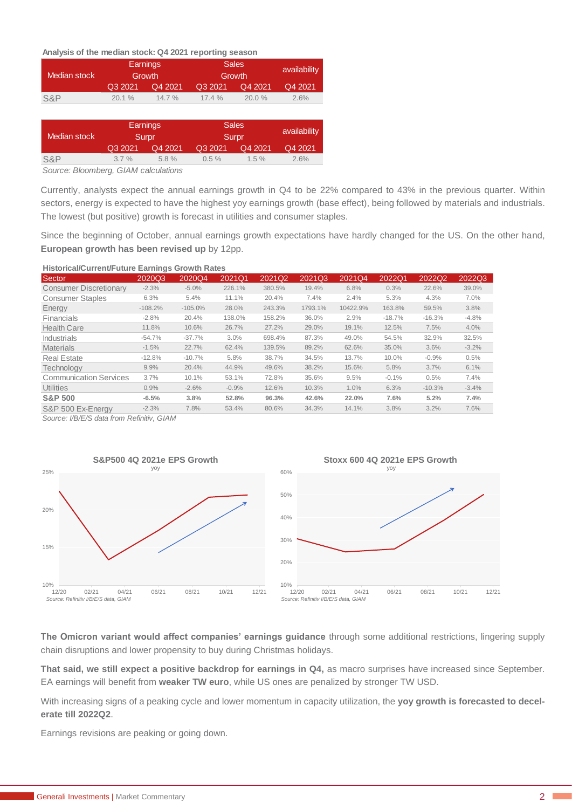## **Analysis of the median stock: Q4 2021 reporting season**

|              |          | Earnings           | <b>Sales</b> | availability |         |  |  |
|--------------|----------|--------------------|--------------|--------------|---------|--|--|
| Median stock |          | Growth             | Growth       |              |         |  |  |
|              | Q3 2021  | Q3 2021<br>Q4 2021 |              | Q4 2021      | Q4 2021 |  |  |
| S&P          | 20.1%    | 14.7 %             | 17.4%        | 20.0 %       | 2.6%    |  |  |
|              |          |                    |              |              |         |  |  |
|              | Earnings |                    | <b>Sales</b> |              |         |  |  |
| Median stock |          | Surpr              | Surpr        | availability |         |  |  |
|              | Q3 2021  | Q4 2021            | Q3 2021      | Q4 2021      | Q4 2021 |  |  |
| S&P          | $3.7\%$  | 5.8%               | $0.5\%$      | $1.5 \%$     | 2.6%    |  |  |

*Source: Bloomberg, GIAM calculations*

Currently, analysts expect the annual earnings growth in Q4 to be 22% compared to 43% in the previous quarter. Within sectors, energy is expected to have the highest yoy earnings growth (base effect), being followed by materials and industrials. The lowest (but positive) growth is forecast in utilities and consumer staples.

Since the beginning of October, annual earnings growth expectations have hardly changed for the US. On the other hand, **European growth has been revised up** by 12pp.

## **Historical/Current/Future Earnings Growth Rates**

| Sector                        | 2020Q3    | 2020Q4     | 2021Q1  | 2021Q2 | 2021Q3  | 2021Q4   | 2022Q1   | 2022Q2   | 2022Q3  |
|-------------------------------|-----------|------------|---------|--------|---------|----------|----------|----------|---------|
| <b>Consumer Discretionary</b> | $-2.3%$   | $-5.0%$    | 226.1%  | 380.5% | 19.4%   | 6.8%     | 0.3%     | 22.6%    | 39.0%   |
| <b>Consumer Staples</b>       | 6.3%      | 5.4%       | 11.1%   | 20.4%  | 7.4%    | 2.4%     | 5.3%     | 4.3%     | 7.0%    |
| Energy                        | $-108.2%$ | $-105.0\%$ | 28.0%   | 243.3% | 1793.1% | 10422.9% | 163.8%   | 59.5%    | 3.8%    |
| Financials                    | $-2.8%$   | 20.4%      | 138.0%  | 158.2% | 36.0%   | 2.9%     | $-18.7%$ | $-16.3%$ | $-4.8%$ |
| <b>Health Care</b>            | 11.8%     | 10.6%      | 26.7%   | 27.2%  | 29.0%   | 19.1%    | 12.5%    | 7.5%     | 4.0%    |
| <b>Industrials</b>            | $-54.7%$  | $-37.7%$   | 3.0%    | 698.4% | 87.3%   | 49.0%    | 54.5%    | 32.9%    | 32.5%   |
| <b>Materials</b>              | $-1.5%$   | 22.7%      | 62.4%   | 139.5% | 89.2%   | 62.6%    | 35.0%    | 3.6%     | $-3.2%$ |
| <b>Real Estate</b>            | $-12.8%$  | $-10.7%$   | 5.8%    | 38.7%  | 34.5%   | 13.7%    | 10.0%    | $-0.9%$  | 0.5%    |
| <b>Technology</b>             | 9.9%      | 20.4%      | 44.9%   | 49.6%  | 38.2%   | 15.6%    | 5.8%     | 3.7%     | 6.1%    |
| <b>Communication Services</b> | 3.7%      | 10.1%      | 53.1%   | 72.8%  | 35.6%   | 9.5%     | $-0.1%$  | 0.5%     | 7.4%    |
| <b>Utilities</b>              | 0.9%      | $-2.6%$    | $-0.9%$ | 12.6%  | 10.3%   | 1.0%     | 6.3%     | $-10.3%$ | $-3.4%$ |
| <b>S&amp;P 500</b>            | $-6.5%$   | 3.8%       | 52.8%   | 96.3%  | 42.6%   | 22.0%    | 7.6%     | 5.2%     | 7.4%    |
| S&P 500 Ex-Energy             | $-2.3%$   | 7.8%       | 53.4%   | 80.6%  | 34.3%   | 14.1%    | 3.8%     | 3.2%     | 7.6%    |

*Source: I/B/E/S data from Refinitiv, GIAM*



**The Omicron variant would affect companies' earnings guidance** through some additional restrictions, lingering supply chain disruptions and lower propensity to buy during Christmas holidays.

**That said, we still expect a positive backdrop for earnings in Q4,** as macro surprises have increased since September. EA earnings will benefit from **weaker TW euro**, while US ones are penalized by stronger TW USD.

With increasing signs of a peaking cycle and lower momentum in capacity utilization, the **yoy growth is forecasted to decelerate till 2022Q2**.

Earnings revisions are peaking or going down.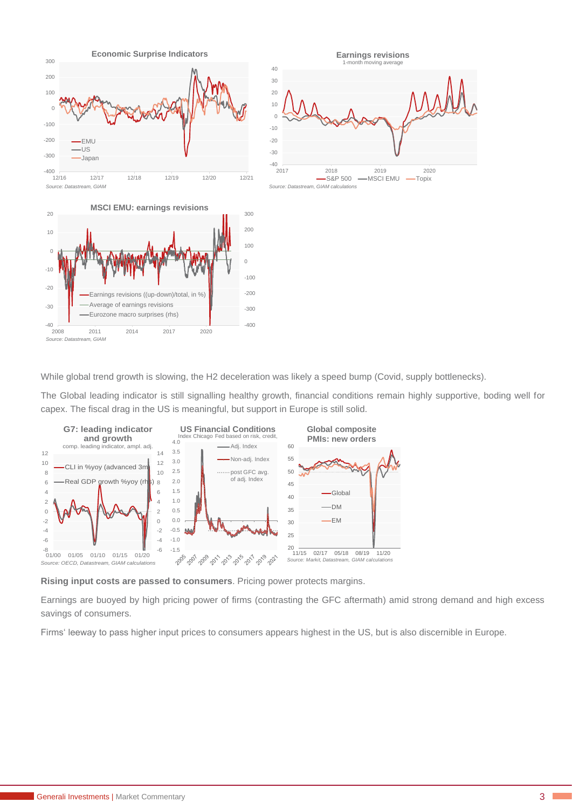

While global trend growth is slowing, the H2 deceleration was likely a speed bump (Covid, supply bottlenecks).

The Global leading indicator is still signalling healthy growth, financial conditions remain highly supportive, boding well for capex. The fiscal drag in the US is meaningful, but support in Europe is still solid.



**Rising input costs are passed to consumers**. Pricing power protects margins.

Earnings are buoyed by high pricing power of firms (contrasting the GFC aftermath) amid strong demand and high excess savings of consumers.

Firms' leeway to pass higher input prices to consumers appears highest in the US, but is also discernible in Europe.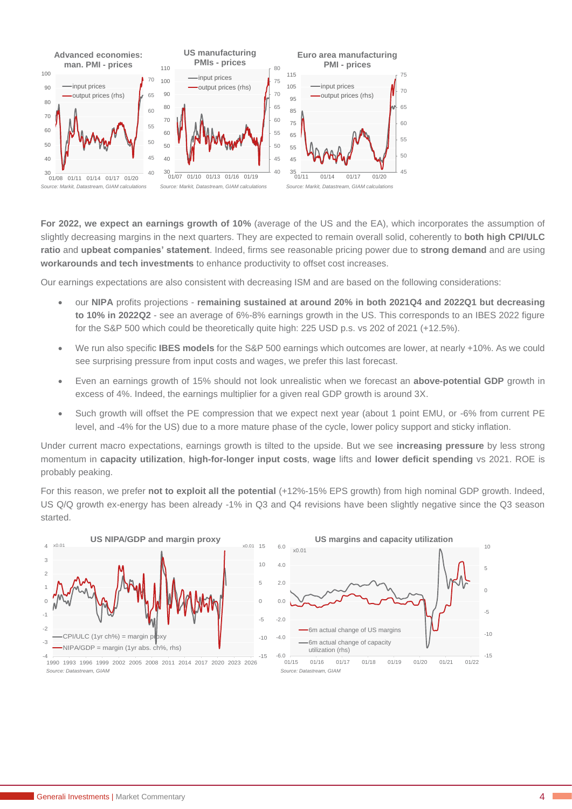

**For 2022, we expect an earnings growth of 10%** (average of the US and the EA), which incorporates the assumption of slightly decreasing margins in the next quarters. They are expected to remain overall solid, coherently to **both high CPI/ULC ratio** and **upbeat companies' statement**. Indeed, firms see reasonable pricing power due to **strong demand** and are using **workarounds and tech investments** to enhance productivity to offset cost increases.

Our earnings expectations are also consistent with decreasing ISM and are based on the following considerations:

- our **NIPA** profits projections **remaining sustained at around 20% in both 2021Q4 and 2022Q1 but decreasing to 10% in 2022Q2** - see an average of 6%-8% earnings growth in the US. This corresponds to an IBES 2022 figure for the S&P 500 which could be theoretically quite high: 225 USD p.s. vs 202 of 2021 (+12.5%).
- We run also specific **IBES models** for the S&P 500 earnings which outcomes are lower, at nearly +10%. As we could see surprising pressure from input costs and wages, we prefer this last forecast.
- Even an earnings growth of 15% should not look unrealistic when we forecast an **above-potential GDP** growth in excess of 4%. Indeed, the earnings multiplier for a given real GDP growth is around 3X.
- Such growth will offset the PE compression that we expect next year (about 1 point EMU, or -6% from current PE level, and -4% for the US) due to a more mature phase of the cycle, lower policy support and sticky inflation.

Under current macro expectations, earnings growth is tilted to the upside. But we see **increasing pressure** by less strong momentum in **capacity utilization**, **high-for-longer input costs**, **wage** lifts and **lower deficit spending** vs 2021. ROE is probably peaking.

For this reason, we prefer **not to exploit all the potential** (+12%-15% EPS growth) from high nominal GDP growth. Indeed, US Q/Q growth ex-energy has been already -1% in Q3 and Q4 revisions have been slightly negative since the Q3 season started.



<sup>1990</sup> 1993 1996 1999 2002 2005 2008 2011 2014 2017 2020 2023 2026 *Source: Datastream, GIAM*

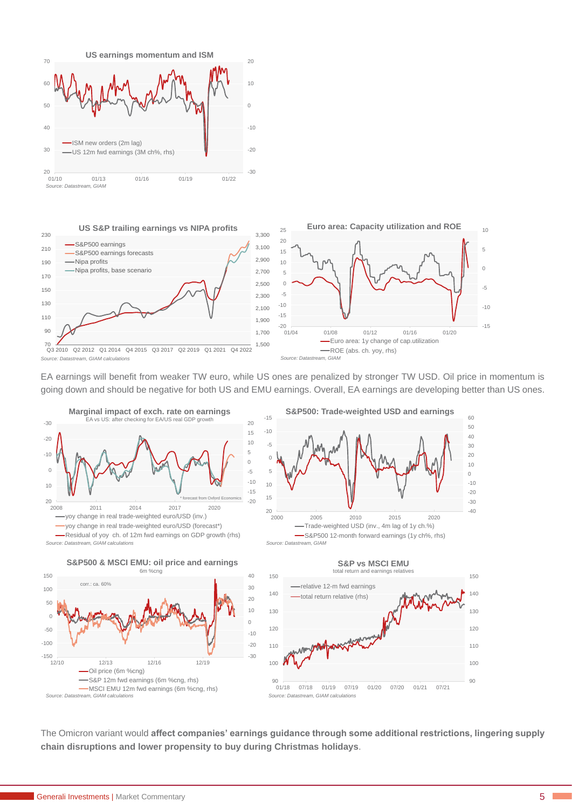



EA earnings will benefit from weaker TW euro, while US ones are penalized by stronger TW USD. Oil price in momentum is going down and should be negative for both US and EMU earnings. Overall, EA earnings are developing better than US ones.









-15 -10

-5  $\Omega$ 5

10



The Omicron variant would **affect companies' earnings guidance through some additional restrictions, lingering supply chain disruptions and lower propensity to buy during Christmas holidays**.